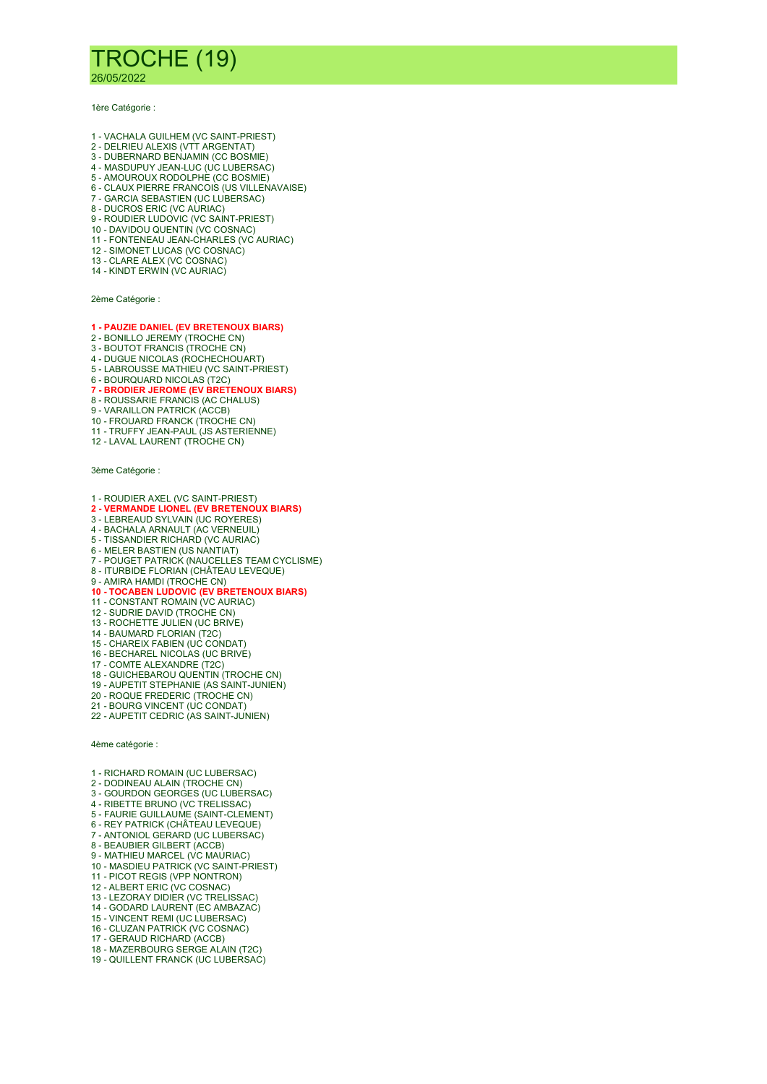## TROCHE (19)

26/05/2022

1ère Catégorie :

- 1 VACHALA GUILHEM (VC SAINT-PRIEST)
- 2 DELRIEU ALEXIS (VTT ARGENTAT)
- 3 DUBERNARD BENJAMIN (CC BOSMIE) 4 - MASDUPUY JEAN-LUC (UC LUBERSAC)
- 5 AMOUROUX RODOLPHE (CC BOSMIE)
- 6 CLAUX PIERRE FRANCOIS (US VILLENAVAISE)
- 7 GARCIA SEBASTIEN (UC LUBERSAC)
- 8 DUCROS ERIC (VC AURIAC)
- 9 ROUDIER LUDOVIC (VC SAINT-PRIEST)
- 10 DAVIDOU QUENTIN (VC COSNAC)
- 11 FONTENEAU JEAN-CHARLES (VC AURIAC)
- 12 SIMONET LUCAS (VC COSNAC)
- 13 CLARE ALEX (VC COSNAC) 14 - KINDT ERWIN (VC AURIAC)

2ème Catégorie :

## 1 - PAUZIE DANIEL (EV BRETENOUX BIARS)

- 2 BONILLO JEREMY (TROCHE CN)
- 3 BOUTOT FRANCIS (TROCHE CN)
- 4 DUGUE NICOLAS (ROCHECHOUART) 5 - LABROUSSE MATHIEU (VC SAINT-PRIEST)
- 
- 6 BOURQUARD NICOLAS (T2C)<br>**7 BRODIER JEROME (EV BRETENOUX BIARS)**
- 8 ROUSSARIE FRANCIS (AC CHALUS)
- 9 VARAILLON PATRICK (ACCB)
- 10 FROUARD FRANCK (TROCHE CN)
- 11 TRUFFY JEAN-PAUL (JS ASTERIENNE)
- 12 LAVAL LAURENT (TROCHE CN)

3ème Catégorie :

- 1 ROUDIER AXEL (VC SAINT-PRIEST)
- 2 VERMANDE LIONEL (EV BRETENOUX BIARS)
- 3 LEBREAUD SYLVAIN (UC ROYERES)
- 4 BACHALA ARNAULT (AC VERNEUIL)
- 5 TISSANDIER RICHARD (VC AURIAC)
- 6 MELER BASTIEN (US NANTIAT)
- 7 POUGET PATRICK (NAUCELLES TEAM CYCLISME)
- 8 ITURBIDE FLORIAN (CHÂTEAU LEVEQUE)
- 
- 9 AMIRA HAMDI (TROCHE CN)<br>**10 TOCABEN LUDOVIC (EV BRETENOUX BIARS)**
- 11 CONSTANT ROMAIN (VC AURIAC)
- 12 SUDRIE DAVID (TROCHE CN)
- 13 ROCHETTE JULIEN (UC BRIVE)
- 14 BAUMARD FLORIAN (T2C)
- 15 CHAREIX FABIEN (UC CONDAT)
- 16 BECHAREL NICOLAS (UC BRIVE)
- 17 COMTE ALEXANDRE (T2C)
- 18 GUICHEBAROU QUENTIN (TROCHE CN)
- 19 AUPETIT STEPHANIE (AS SAINT-JUNIEN)
- 20 ROQUE FREDERIC (TROCHE CN)
- 21 BOURG VINCENT (UC CONDAT)
- 22 AUPETIT CEDRIC (AS SAINT-JUNIEN)

4ème catégorie :

- 1 RICHARD ROMAIN (UC LUBERSAC)
- 2 DODINEAU ALAIN (TROCHE CN)
- 3 GOURDON GEORGES (UC LUBERSAC)
- 4 RIBETTE BRUNO (VC TRELISSAC) 5 - FAURIE GUILLAUME (SAINT-CLEMENT)
- 6 REY PATRICK (CHÂTEAU LEVEQUE)
- 7 ANTONIOL GERARD (UC LUBERSAC)
- 8 BEAUBIER GILBERT (ACCB)
- 9 MATHIEU MARCEL (VC MAURIAC)
- 10 MASDIEU PATRICK (VC SAINT-PRIEST)
- 11 PICOT REGIS (VPP NONTRON)
- 12 ALBERT ERIC (VC COSNAC)
- 13 LEZORAY DIDIER (VC TRELISSAC)
- 14 GODARD LAURENT (EC AMBAZAC)
- 15 VINCENT REMI (UC LUBERSAC) 16 - CLUZAN PATRICK (VC COSNAC)
- 17 GERAUD RICHARD (ACCB)
- 18 MAZERBOURG SERGE ALAIN (T2C)
- 19 QUILLENT FRANCK (UC LUBERSAC)